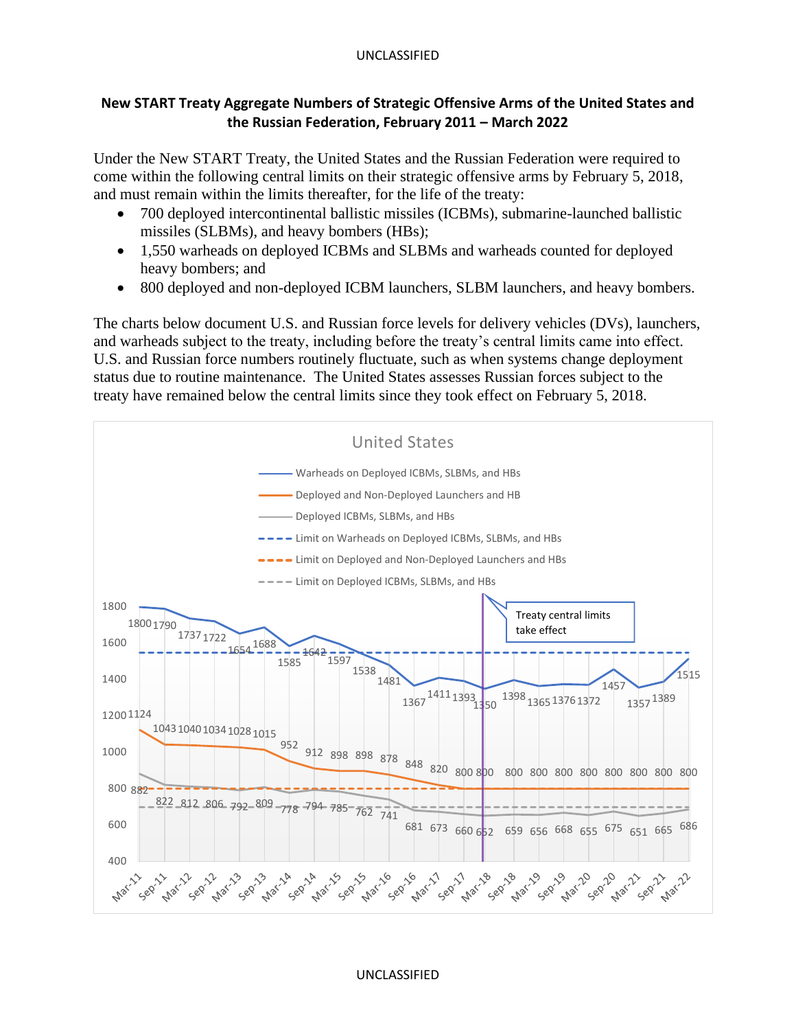## UNCLASSIFIED

## **New START Treaty Aggregate Numbers of Strategic Offensive Arms of the United States and the Russian Federation, February 2011 – March 2022**

Under the New START Treaty, the United States and the Russian Federation were required to come within the following central limits on their strategic offensive arms by February 5, 2018, and must remain within the limits thereafter, for the life of the treaty:

- 700 deployed intercontinental ballistic missiles (ICBMs), submarine-launched ballistic missiles (SLBMs), and heavy bombers (HBs);
- 1,550 warheads on deployed ICBMs and SLBMs and warheads counted for deployed heavy bombers; and
- 800 deployed and non-deployed ICBM launchers, SLBM launchers, and heavy bombers.

The charts below document U.S. and Russian force levels for delivery vehicles (DVs), launchers, and warheads subject to the treaty, including before the treaty's central limits came into effect. U.S. and Russian force numbers routinely fluctuate, such as when systems change deployment status due to routine maintenance. The United States assesses Russian forces subject to the treaty have remained below the central limits since they took effect on February 5, 2018.



## UNCLASSIFIED